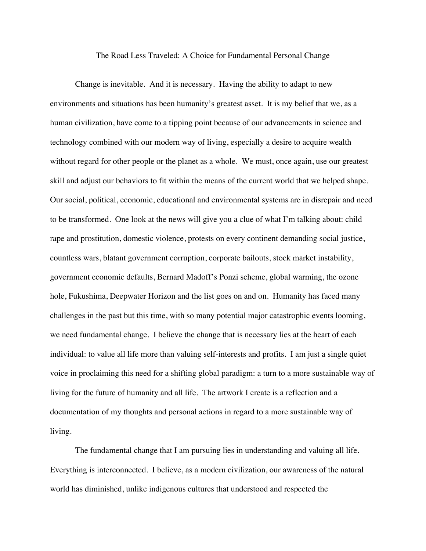## The Road Less Traveled: A Choice for Fundamental Personal Change

Change is inevitable. And it is necessary. Having the ability to adapt to new environments and situations has been humanity's greatest asset. It is my belief that we, as a human civilization, have come to a tipping point because of our advancements in science and technology combined with our modern way of living, especially a desire to acquire wealth without regard for other people or the planet as a whole. We must, once again, use our greatest skill and adjust our behaviors to fit within the means of the current world that we helped shape. Our social, political, economic, educational and environmental systems are in disrepair and need to be transformed. One look at the news will give you a clue of what I'm talking about: child rape and prostitution, domestic violence, protests on every continent demanding social justice, countless wars, blatant government corruption, corporate bailouts, stock market instability, government economic defaults, Bernard Madoff's Ponzi scheme, global warming, the ozone hole, Fukushima, Deepwater Horizon and the list goes on and on. Humanity has faced many challenges in the past but this time, with so many potential major catastrophic events looming, we need fundamental change. I believe the change that is necessary lies at the heart of each individual: to value all life more than valuing self-interests and profits. I am just a single quiet voice in proclaiming this need for a shifting global paradigm: a turn to a more sustainable way of living for the future of humanity and all life. The artwork I create is a reflection and a documentation of my thoughts and personal actions in regard to a more sustainable way of living.

The fundamental change that I am pursuing lies in understanding and valuing all life. Everything is interconnected. I believe, as a modern civilization, our awareness of the natural world has diminished, unlike indigenous cultures that understood and respected the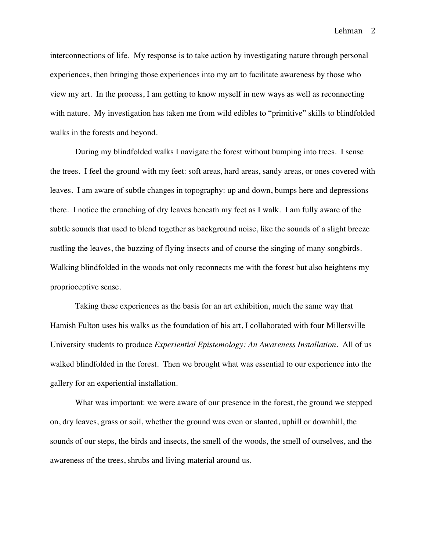interconnections of life. My response is to take action by investigating nature through personal experiences, then bringing those experiences into my art to facilitate awareness by those who view my art. In the process, I am getting to know myself in new ways as well as reconnecting with nature. My investigation has taken me from wild edibles to "primitive" skills to blindfolded walks in the forests and beyond.

During my blindfolded walks I navigate the forest without bumping into trees. I sense the trees. I feel the ground with my feet: soft areas, hard areas, sandy areas, or ones covered with leaves. I am aware of subtle changes in topography: up and down, bumps here and depressions there. I notice the crunching of dry leaves beneath my feet as I walk. I am fully aware of the subtle sounds that used to blend together as background noise, like the sounds of a slight breeze rustling the leaves, the buzzing of flying insects and of course the singing of many songbirds. Walking blindfolded in the woods not only reconnects me with the forest but also heightens my proprioceptive sense.

Taking these experiences as the basis for an art exhibition, much the same way that Hamish Fulton uses his walks as the foundation of his art, I collaborated with four Millersville University students to produce *Experiential Epistemology: An Awareness Installation*. All of us walked blindfolded in the forest. Then we brought what was essential to our experience into the gallery for an experiential installation.

What was important: we were aware of our presence in the forest, the ground we stepped on, dry leaves, grass or soil, whether the ground was even or slanted, uphill or downhill, the sounds of our steps, the birds and insects, the smell of the woods, the smell of ourselves, and the awareness of the trees, shrubs and living material around us.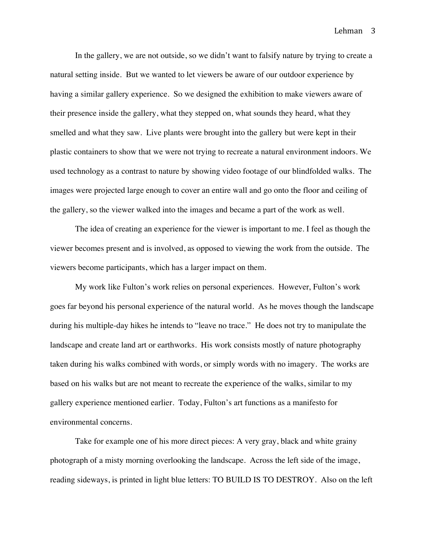In the gallery, we are not outside, so we didn't want to falsify nature by trying to create a natural setting inside. But we wanted to let viewers be aware of our outdoor experience by having a similar gallery experience. So we designed the exhibition to make viewers aware of their presence inside the gallery, what they stepped on, what sounds they heard, what they smelled and what they saw. Live plants were brought into the gallery but were kept in their plastic containers to show that we were not trying to recreate a natural environment indoors. We used technology as a contrast to nature by showing video footage of our blindfolded walks. The images were projected large enough to cover an entire wall and go onto the floor and ceiling of the gallery, so the viewer walked into the images and became a part of the work as well.

The idea of creating an experience for the viewer is important to me. I feel as though the viewer becomes present and is involved, as opposed to viewing the work from the outside. The viewers become participants, which has a larger impact on them.

My work like Fulton's work relies on personal experiences. However, Fulton's work goes far beyond his personal experience of the natural world. As he moves though the landscape during his multiple-day hikes he intends to "leave no trace." He does not try to manipulate the landscape and create land art or earthworks. His work consists mostly of nature photography taken during his walks combined with words, or simply words with no imagery. The works are based on his walks but are not meant to recreate the experience of the walks, similar to my gallery experience mentioned earlier. Today, Fulton's art functions as a manifesto for environmental concerns.

Take for example one of his more direct pieces: A very gray, black and white grainy photograph of a misty morning overlooking the landscape. Across the left side of the image, reading sideways, is printed in light blue letters: TO BUILD IS TO DESTROY. Also on the left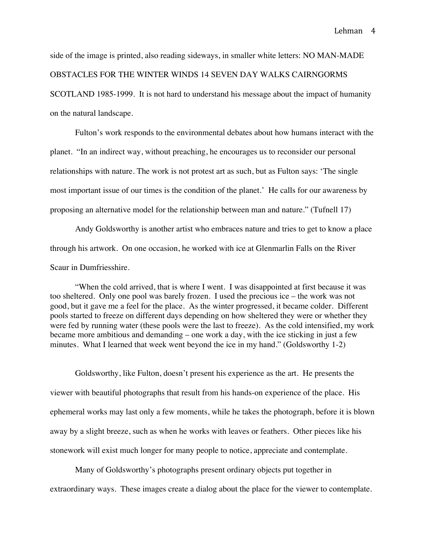side of the image is printed, also reading sideways, in smaller white letters: NO MAN-MADE OBSTACLES FOR THE WINTER WINDS 14 SEVEN DAY WALKS CAIRNGORMS SCOTLAND 1985-1999. It is not hard to understand his message about the impact of humanity on the natural landscape.

Fulton's work responds to the environmental debates about how humans interact with the planet. "In an indirect way, without preaching, he encourages us to reconsider our personal relationships with nature. The work is not protest art as such, but as Fulton says: 'The single most important issue of our times is the condition of the planet.' He calls for our awareness by proposing an alternative model for the relationship between man and nature." (Tufnell 17)

Andy Goldsworthy is another artist who embraces nature and tries to get to know a place through his artwork. On one occasion, he worked with ice at Glenmarlin Falls on the River Scaur in Dumfriesshire.

"When the cold arrived, that is where I went. I was disappointed at first because it was too sheltered. Only one pool was barely frozen. I used the precious ice – the work was not good, but it gave me a feel for the place. As the winter progressed, it became colder. Different pools started to freeze on different days depending on how sheltered they were or whether they were fed by running water (these pools were the last to freeze). As the cold intensified, my work became more ambitious and demanding – one work a day, with the ice sticking in just a few minutes. What I learned that week went beyond the ice in my hand." (Goldsworthy 1-2)

Goldsworthy, like Fulton, doesn't present his experience as the art. He presents the viewer with beautiful photographs that result from his hands-on experience of the place. His ephemeral works may last only a few moments, while he takes the photograph, before it is blown away by a slight breeze, such as when he works with leaves or feathers. Other pieces like his stonework will exist much longer for many people to notice, appreciate and contemplate.

Many of Goldsworthy's photographs present ordinary objects put together in extraordinary ways. These images create a dialog about the place for the viewer to contemplate.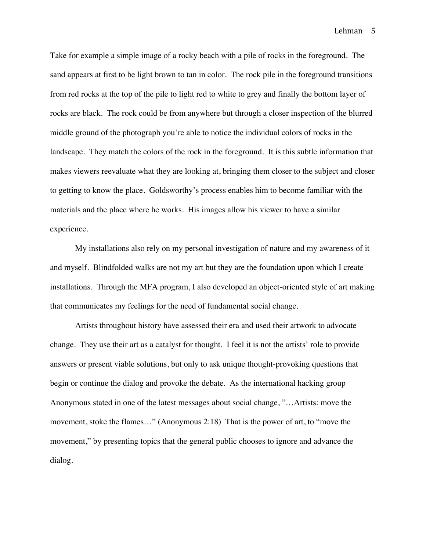Take for example a simple image of a rocky beach with a pile of rocks in the foreground. The sand appears at first to be light brown to tan in color. The rock pile in the foreground transitions from red rocks at the top of the pile to light red to white to grey and finally the bottom layer of rocks are black. The rock could be from anywhere but through a closer inspection of the blurred middle ground of the photograph you're able to notice the individual colors of rocks in the landscape. They match the colors of the rock in the foreground. It is this subtle information that makes viewers reevaluate what they are looking at, bringing them closer to the subject and closer to getting to know the place. Goldsworthy's process enables him to become familiar with the materials and the place where he works. His images allow his viewer to have a similar experience.

My installations also rely on my personal investigation of nature and my awareness of it and myself. Blindfolded walks are not my art but they are the foundation upon which I create installations. Through the MFA program, I also developed an object-oriented style of art making that communicates my feelings for the need of fundamental social change.

Artists throughout history have assessed their era and used their artwork to advocate change. They use their art as a catalyst for thought. I feel it is not the artists' role to provide answers or present viable solutions, but only to ask unique thought-provoking questions that begin or continue the dialog and provoke the debate. As the international hacking group Anonymous stated in one of the latest messages about social change, "…Artists: move the movement, stoke the flames…" (Anonymous 2:18) That is the power of art, to "move the movement," by presenting topics that the general public chooses to ignore and advance the dialog.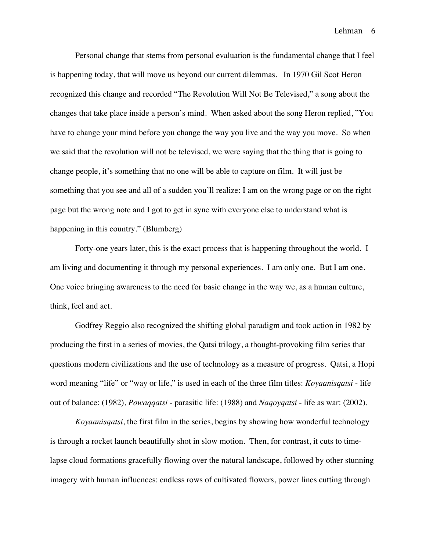Personal change that stems from personal evaluation is the fundamental change that I feel is happening today, that will move us beyond our current dilemmas. In 1970 Gil Scot Heron recognized this change and recorded "The Revolution Will Not Be Televised," a song about the changes that take place inside a person's mind. When asked about the song Heron replied, "You have to change your mind before you change the way you live and the way you move. So when we said that the revolution will not be televised, we were saying that the thing that is going to change people, it's something that no one will be able to capture on film. It will just be something that you see and all of a sudden you'll realize: I am on the wrong page or on the right page but the wrong note and I got to get in sync with everyone else to understand what is happening in this country." (Blumberg)

Forty-one years later, this is the exact process that is happening throughout the world. I am living and documenting it through my personal experiences. I am only one. But I am one. One voice bringing awareness to the need for basic change in the way we, as a human culture, think, feel and act.

Godfrey Reggio also recognized the shifting global paradigm and took action in 1982 by producing the first in a series of movies, the Qatsi trilogy, a thought-provoking film series that questions modern civilizations and the use of technology as a measure of progress.Qatsi, a Hopi word meaning "life" or "way or life," is used in each of the three film titles: *Koyaanisqatsi* - life out of balance: (1982), *Powaqqatsi* - parasitic life: (1988) and *Naqoyqatsi* - life as war: (2002).

*Koyaanisqatsi*, the first film in the series, begins by showing how wonderful technology is through a rocket launch beautifully shot in slow motion. Then, for contrast, it cuts to timelapse cloud formations gracefully flowing over the natural landscape, followed by other stunning imagery with human influences: endless rows of cultivated flowers, power lines cutting through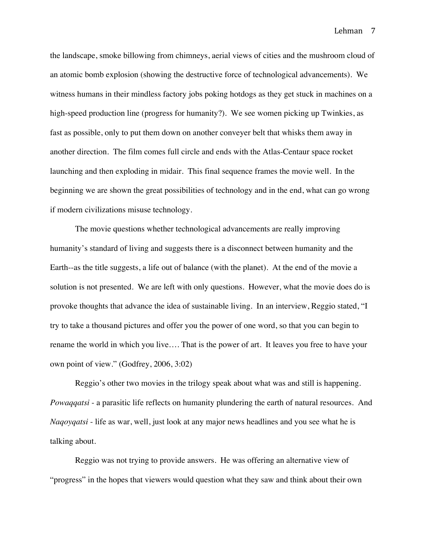the landscape, smoke billowing from chimneys, aerial views of cities and the mushroom cloud of an atomic bomb explosion (showing the destructive force of technological advancements). We witness humans in their mindless factory jobs poking hotdogs as they get stuck in machines on a high-speed production line (progress for humanity?). We see women picking up Twinkies, as fast as possible, only to put them down on another conveyer belt that whisks them away in another direction. The film comes full circle and ends with the Atlas-Centaur space rocket launching and then exploding in midair. This final sequence frames the movie well. In the beginning we are shown the great possibilities of technology and in the end, what can go wrong if modern civilizations misuse technology.

The movie questions whether technological advancements are really improving humanity's standard of living and suggests there is a disconnect between humanity and the Earth--as the title suggests, a life out of balance (with the planet). At the end of the movie a solution is not presented. We are left with only questions. However, what the movie does do is provoke thoughts that advance the idea of sustainable living. In an interview, Reggio stated, "I try to take a thousand pictures and offer you the power of one word, so that you can begin to rename the world in which you live…. That is the power of art. It leaves you free to have your own point of view." (Godfrey, 2006, 3:02)

Reggio's other two movies in the trilogy speak about what was and still is happening. *Powaqqatsi* - a parasitic life reflects on humanity plundering the earth of natural resources. And *Naqoyqatsi* - life as war, well, just look at any major news headlines and you see what he is talking about.

Reggio was not trying to provide answers. He was offering an alternative view of "progress" in the hopes that viewers would question what they saw and think about their own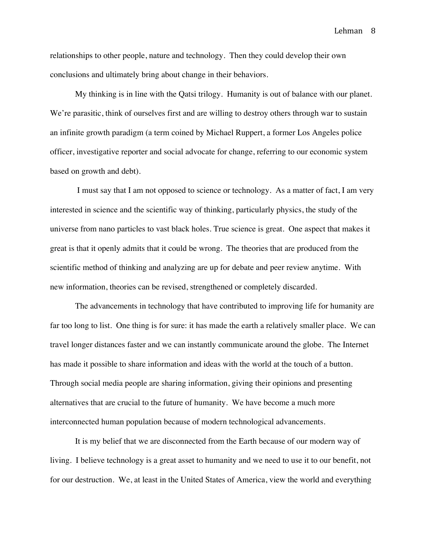relationships to other people, nature and technology. Then they could develop their own conclusions and ultimately bring about change in their behaviors.

My thinking is in line with the Qatsi trilogy. Humanity is out of balance with our planet. We're parasitic, think of ourselves first and are willing to destroy others through war to sustain an infinite growth paradigm (a term coined by Michael Ruppert, a former Los Angeles police officer, investigative reporter and social advocate for change, referring to our economic system based on growth and debt).

I must say that I am not opposed to science or technology. As a matter of fact, I am very interested in science and the scientific way of thinking, particularly physics, the study of the universe from nano particles to vast black holes. True science is great. One aspect that makes it great is that it openly admits that it could be wrong. The theories that are produced from the scientific method of thinking and analyzing are up for debate and peer review anytime. With new information, theories can be revised, strengthened or completely discarded.

The advancements in technology that have contributed to improving life for humanity are far too long to list. One thing is for sure: it has made the earth a relatively smaller place. We can travel longer distances faster and we can instantly communicate around the globe. The Internet has made it possible to share information and ideas with the world at the touch of a button. Through social media people are sharing information, giving their opinions and presenting alternatives that are crucial to the future of humanity. We have become a much more interconnected human population because of modern technological advancements.

It is my belief that we are disconnected from the Earth because of our modern way of living. I believe technology is a great asset to humanity and we need to use it to our benefit, not for our destruction. We, at least in the United States of America, view the world and everything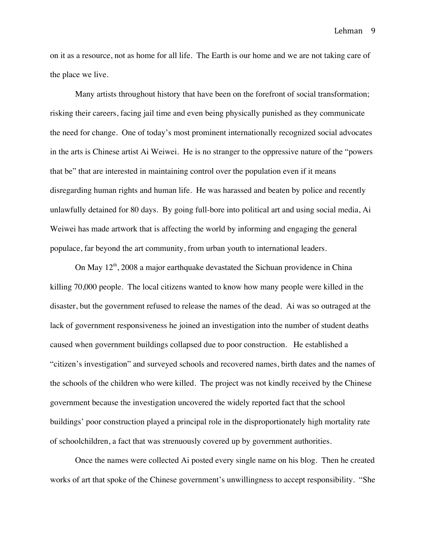on it as a resource, not as home for all life. The Earth is our home and we are not taking care of the place we live.

Many artists throughout history that have been on the forefront of social transformation; risking their careers, facing jail time and even being physically punished as they communicate the need for change. One of today's most prominent internationally recognized social advocates in the arts is Chinese artist Ai Weiwei. He is no stranger to the oppressive nature of the "powers that be" that are interested in maintaining control over the population even if it means disregarding human rights and human life. He was harassed and beaten by police and recently unlawfully detained for 80 days. By going full-bore into political art and using social media, Ai Weiwei has made artwork that is affecting the world by informing and engaging the general populace, far beyond the art community, from urban youth to international leaders.

On May  $12<sup>th</sup>$ , 2008 a major earthquake devastated the Sichuan providence in China killing 70,000 people. The local citizens wanted to know how many people were killed in the disaster, but the government refused to release the names of the dead. Ai was so outraged at the lack of government responsiveness he joined an investigation into the number of student deaths caused when government buildings collapsed due to poor construction. He established a "citizen's investigation" and surveyed schools and recovered names, birth dates and the names of the schools of the children who were killed. The project was not kindly received by the Chinese government because the investigation uncovered the widely reported fact that the school buildings' poor construction played a principal role in the disproportionately high mortality rate of schoolchildren, a fact that was strenuously covered up by government authorities.

Once the names were collected Ai posted every single name on his blog. Then he created works of art that spoke of the Chinese government's unwillingness to accept responsibility. "She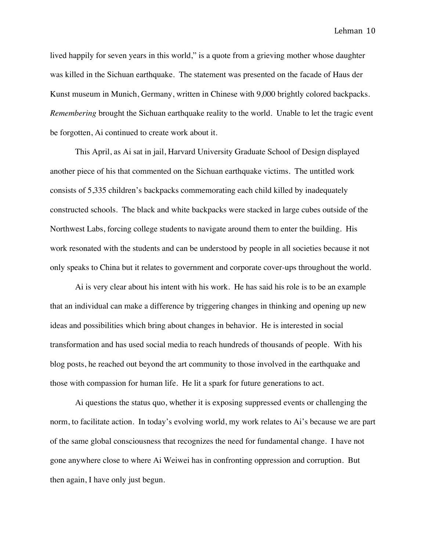lived happily for seven years in this world," is a quote from a grieving mother whose daughter was killed in the Sichuan earthquake. The statement was presented on the facade of Haus der Kunst museum in Munich, Germany, written in Chinese with 9,000 brightly colored backpacks. *Remembering* brought the Sichuan earthquake reality to the world. Unable to let the tragic event be forgotten, Ai continued to create work about it.

This April, as Ai sat in jail, Harvard University Graduate School of Design displayed another piece of his that commented on the Sichuan earthquake victims. The untitled work consists of 5,335 children's backpacks commemorating each child killed by inadequately constructed schools. The black and white backpacks were stacked in large cubes outside of the Northwest Labs, forcing college students to navigate around them to enter the building. His work resonated with the students and can be understood by people in all societies because it not only speaks to China but it relates to government and corporate cover-ups throughout the world.

Ai is very clear about his intent with his work. He has said his role is to be an example that an individual can make a difference by triggering changes in thinking and opening up new ideas and possibilities which bring about changes in behavior. He is interested in social transformation and has used social media to reach hundreds of thousands of people. With his blog posts, he reached out beyond the art community to those involved in the earthquake and those with compassion for human life. He lit a spark for future generations to act.

Ai questions the status quo, whether it is exposing suppressed events or challenging the norm, to facilitate action. In today's evolving world, my work relates to Ai's because we are part of the same global consciousness that recognizes the need for fundamental change. I have not gone anywhere close to where Ai Weiwei has in confronting oppression and corruption. But then again, I have only just begun.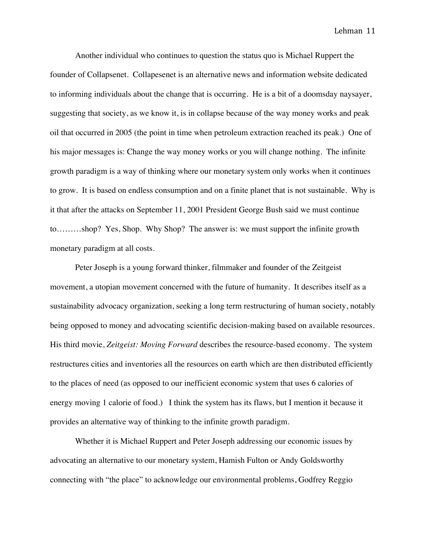Another individual who continues to question the status quo is Michael Ruppert the founder of Collapsenet. Collapesenet is an alternative news and information website dedicated to informing individuals about the change that is occurring. He is a bit of a doomsday naysayer, suggesting that society, as we know it, is in collapse because of the way money works and peak oil that occurred in 2005 (the point in time when petroleum extraction reached its peak.) One of his major messages is: Change the way money works or you will change nothing. The infinite growth paradigm is a way of thinking where our monetary system only works when it continues to grow. It is based on endless consumption and on a finite planet that is not sustainable. Why is it that after the attacks on September 11, 2001 President George Bush said we must continue to………shop? Yes, Shop. Why Shop? The answer is: we must support the infinite growth monetary paradigm at all costs.

Peter Joseph is a young forward thinker, filmmaker and founder of the Zeitgeist movement, a utopian movement concerned with the future of humanity. It describes itself as a sustainability advocacy organization, seeking a long term restructuring of human society, notably being opposed to money and advocating scientific decision-making based on available resources. His third movie, *Zeitgeist: Moving Forward* describes the resource-based economy. The system restructures cities and inventories all the resources on earth which are then distributed efficiently to the places of need (as opposed to our inefficient economic system that uses 6 calories of energy moving 1 calorie of food.) I think the system has its flaws, but I mention it because it provides an alternative way of thinking to the infinite growth paradigm.

Whether it is Michael Ruppert and Peter Joseph addressing our economic issues by advocating an alternative to our monetary system, Hamish Fulton or Andy Goldsworthy connecting with "the place" to acknowledge our environmental problems, Godfrey Reggio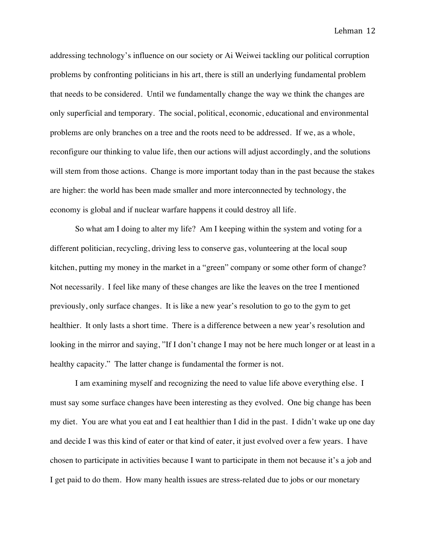addressing technology's influence on our society or Ai Weiwei tackling our political corruption problems by confronting politicians in his art, there is still an underlying fundamental problem that needs to be considered. Until we fundamentally change the way we think the changes are only superficial and temporary. The social, political, economic, educational and environmental problems are only branches on a tree and the roots need to be addressed. If we, as a whole, reconfigure our thinking to value life, then our actions will adjust accordingly, and the solutions will stem from those actions. Change is more important today than in the past because the stakes are higher: the world has been made smaller and more interconnected by technology, the economy is global and if nuclear warfare happens it could destroy all life.

So what am I doing to alter my life? Am I keeping within the system and voting for a different politician, recycling, driving less to conserve gas, volunteering at the local soup kitchen, putting my money in the market in a "green" company or some other form of change? Not necessarily. I feel like many of these changes are like the leaves on the tree I mentioned previously, only surface changes. It is like a new year's resolution to go to the gym to get healthier. It only lasts a short time. There is a difference between a new year's resolution and looking in the mirror and saying, "If I don't change I may not be here much longer or at least in a healthy capacity." The latter change is fundamental the former is not.

I am examining myself and recognizing the need to value life above everything else. I must say some surface changes have been interesting as they evolved. One big change has been my diet. You are what you eat and I eat healthier than I did in the past. I didn't wake up one day and decide I was this kind of eater or that kind of eater, it just evolved over a few years. I have chosen to participate in activities because I want to participate in them not because it's a job and I get paid to do them. How many health issues are stress-related due to jobs or our monetary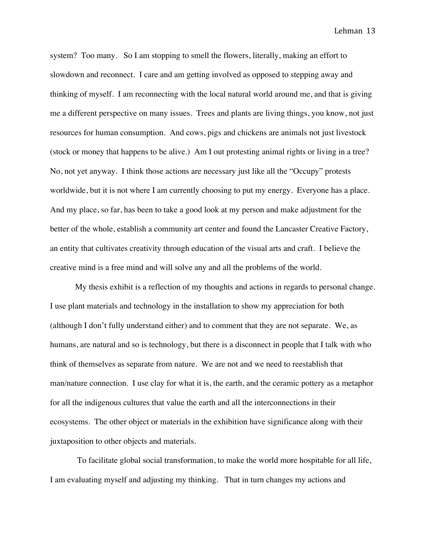system? Too many. So I am stopping to smell the flowers, literally, making an effort to slowdown and reconnect. I care and am getting involved as opposed to stepping away and thinking of myself. I am reconnecting with the local natural world around me, and that is giving me a different perspective on many issues. Trees and plants are living things, you know, not just resources for human consumption. And cows, pigs and chickens are animals not just livestock (stock or money that happens to be alive.) Am I out protesting animal rights or living in a tree? No, not yet anyway. I think those actions are necessary just like all the "Occupy" protests worldwide, but it is not where I am currently choosing to put my energy. Everyone has a place. And my place, so far, has been to take a good look at my person and make adjustment for the better of the whole, establish a community art center and found the Lancaster Creative Factory, an entity that cultivates creativity through education of the visual arts and craft. I believe the creative mind is a free mind and will solve any and all the problems of the world.

My thesis exhibit is a reflection of my thoughts and actions in regards to personal change. I use plant materials and technology in the installation to show my appreciation for both (although I don't fully understand either) and to comment that they are not separate. We, as humans, are natural and so is technology, but there is a disconnect in people that I talk with who think of themselves as separate from nature. We are not and we need to reestablish that man/nature connection. I use clay for what it is, the earth, and the ceramic pottery as a metaphor for all the indigenous cultures that value the earth and all the interconnections in their ecosystems. The other object or materials in the exhibition have significance along with their juxtaposition to other objects and materials.

To facilitate global social transformation, to make the world more hospitable for all life, I am evaluating myself and adjusting my thinking. That in turn changes my actions and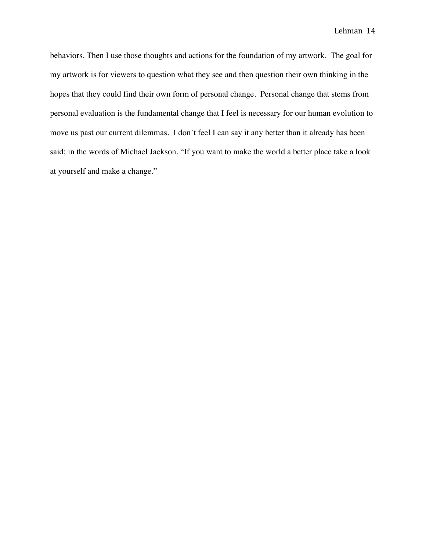behaviors. Then I use those thoughts and actions for the foundation of my artwork. The goal for my artwork is for viewers to question what they see and then question their own thinking in the hopes that they could find their own form of personal change. Personal change that stems from personal evaluation is the fundamental change that I feel is necessary for our human evolution to move us past our current dilemmas. I don't feel I can say it any better than it already has been said; in the words of Michael Jackson, "If you want to make the world a better place take a look at yourself and make a change."